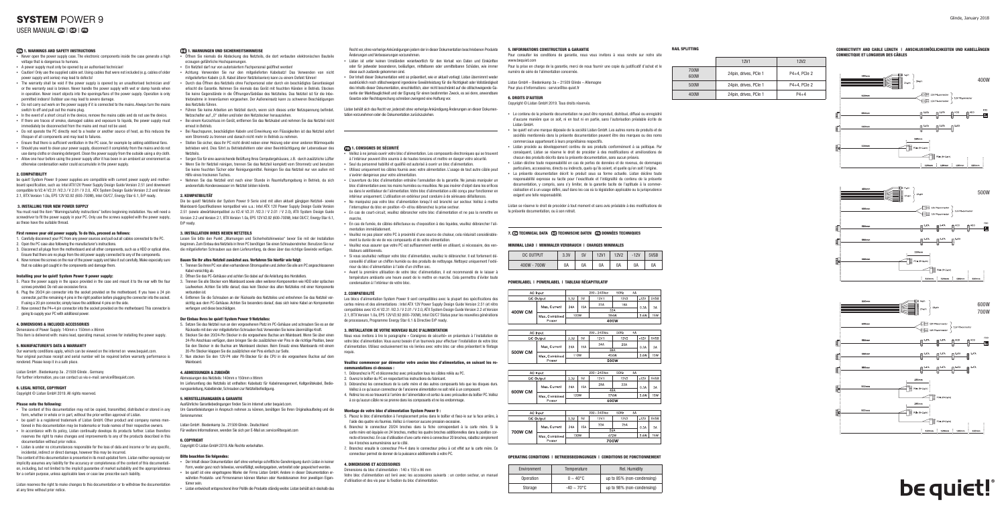- $\overline{\phantom{a}}$  Never open the power supply case. The electronic components inside the case generate a high voltage that is dangerous to humans.
- A power supply must only be opened by an authorised technician!
- Caution! Only use the supplied cable set. Using cables that were not included (e.g. cables of older power supply unit series) may lead to defects!
- The warranty shall be void if the power supply is opened by an unauthorised technician and/ or the warranty seal is broken. Never handle the power supply with wet or damp hands when in operation. Never insert objects into the openings/fans of the power supply. Operation is only permitted indoors! Outdoor use may lead to severe damage.
- Do not carry out work on the power supply if it is connected to the mains. Always turn the mains. switch to off and pull out the mains plug.
- In the event of a short circuit in the device, remove the mains cable and do not use the device.
- If there are traces of smoke, damaged cables and exposure to liquids, the power supply must immediately be disconnected from the mains and must not be used.
- Do not operate the PC directly next to a heater or another source of heat, as this reduces the lifespan of all components and may lead to failures.
- **Ensure that there is sufficient ventilation in the PC case, for example by additional fanses** ▪ Should you want to clean your power supply, disconnect it completely from the mains and do not
- use damp cloths or cleaning detergent. Clean the power supply from the outside using a dry cloth. ▪ Allow one hour before using the power supply after it has been in an ambient air environment as otherwise condensation water could accumulate in the power supply.

#### 2. COMPATIBILITY

Dimensions of Power Supply: 140mm x 150mm x 86mm This item is delivered with: mains lead, operating manual, screws for installing the power supply.

be quiet! System Power 9 power supplies are compatible with current power supply and motherboard specification, such as: Intel ATX12V Power Supply Design Guide Version 2.51 (and downward compatible to V2.4/ V2.31 /V2.3 / V 2.01 / V 2.0, ATX System Design Guide Version 2.2 and Version 2.1, BTX Version 1.0a, EPS 12V V2.92 (600-700W), Intel C6/C7, Energy Star 6.1, ErP ready.

Listan GmbH . Biedenkamp 3a . 21509 Glinde . Germany For further information, you can contact us via e-mail: service@bequiet.com.

#### 3. INSTALLING YOUR NEW POWER SUPPLY

You must read the item "Warnings/safety instructions" before beginning installation. You will need a screwdriver to fit the power supply in your PC. Only use the screws supplied with the power supply, as these have the suitable thread.

#### First remove your old power supply. To do this, proceed as follows:

- The content of this documentation may not be copied, transmitted, distributed or stored in any form, whether in whole or in part, without the prior written approval of Listan.
- be quiet! is a registered trademark of Listan GmbH. Other product and company names mentioned in this documentation may be trademarks or trade names of their respective owners. ▪ In accordance with its policy, Listan continually develops its products further. Listan therefore
- reserves the right to make changes and improvements to any of the products described in this documentation without prior notice.
- Listan is under no circumstances responsible for the loss of data and income or for any specific, incidental, indirect or direct damage, however this may be incurred.
- 1. Carefully disconnect your PC from any power sources and pull out all cables connected to the PC.
- 2. Open the PC case also following the manufacturer's instructions.
- 3. Disconnect all plugs from the motherboard and all other components, such as a HDD or optical drive. Ensure that there are no plugs from the old power supply connected to any of the components.
- 4. Now remove the screws on the rear of the power supply and take it out carefully. Make especially sure that no cables get caught in the components and damage them.

#### Installing your be quiet! System Power 9 power supply:

- 5. Place the power supply in the space provided in the case and mount it to the rear with the four screws provided. Do not use excessive force.
- 6. Plug the 20/24 pin connector into the socket provided on the motherboard. If you have a 24 pin connector, put the remaining 4 pins in the right position before plugging the connector into the socket. If using a 20 pin connector, simply leave the additional 4 pins on the side.
- 7. Now connect the P4+4 pin connector into the socket provided on the motherboard. This connector is going to supply your PC with additional power.

#### 4. DIMENSIONS & INCLUDED ACCESSORIES

#### 5. MANUFACTURER'S DATA & WARRANTY

Our warranty conditions apply, which can be viewed on the internet on www.bequiet.com. Your original purchase receipt and serial number will be required before warranty performance is 7. Nun stecken Sie den 12V-P4 oder P8-Stecker für die CPU in die vorgesehene Buchse auf dem rendered. Please keep it in a safe place.

Lesen Sie bitte den Punkt "Warnungen und Sicherheitshinweise" bevor Sie mit der Installation beginnen. Zum Einbau des Netzteils in Ihren PC benötigen Sie einen Schraubendreher. Benutzen Sie nur die mitgelieferten Schrauben aus dem Lieferumfang, da diese über das richtige Gewinde verfügen.

#### 6. LEGAL NOTICE, COPYRIGHT

Copyright © Listan GmbH 2019. All rights reserved.

#### Please note the following:

- 5. Setzen Sie das Netzteil nun an den vorgesehenen Platz im PC-Gehäuse und schrauben Sie es an der Rückseite mit den vier mitgelieferten Schrauben fest. Verwenden Sie keine übermäßige Kraft.
- 6. Stecken Sie den 20/24-Pin Stecker in die vorgesehene Buchse am Mainboard. Wenn Sie über einen 24-Pin Anschluss verfügen, dann bringen Sie die zusätzlichen vier Pins in die richtige Position, bevor Sie den Stecker in die Buchse am Mainboard stecken. Beim Einsatz eines Mainboards mit einem 20-Pin Stecker klappen Sie die zusätzlichen vier Pins einfach zur Seite.
- **Mainhoard**

The content of this documentation is presented in its most updated form. Listan neither expressly nor implicitly assumes any liability for the accuracy or completeness of the content of this documentation, including, but not limited to the implicit guarantee of market suitability and the appropriateness for a certain purpose, unless applicable laws or case law prescribe such liability.

Listan reserves the right to make changes to this documentation or to withdraw the documentation at any time without prior notice.

#### **DE 1. WARNUNGEN UND SICHERHEITSHINWEISE**

- Öffnen Sie niemals die Abdeckung des Netzteils, die dort verbauten elektronischen Bauteile erzeugen gefährliche Hochspannungen.
- Ein Netzteil darf nur von autorisiertem Fachpersonal geöffnet werden!
- Achtung: Verwenden Sie nur den mitgelieferten Kabelsatz! Das Verwenden von nicht mitgelieferten Kabeln (z.B. Kabel älterer Netzteilserien) kann zu einem Defekt führen!
- Durch das Öffnen des Netzteils ohne Fachpersonal oder durch ein beschädigtes Garantiesiegel erlischt die Garantie. Nehmen Sie niemals das Gerät mit feuchten Händen in Betrieb. Stecken Sie keine Gegenstände in die Öffnungen/Gebläse des Netzteiles. Das Netzteil ist für die Inbetriebnahme in Innenräumen vorgesehen. Der Außeneinsatz kann zu schweren Beschädigungen des Netzteils führen.
- Führen Sie keine Arbeiten am Netzteil durch, wenn sich dieses unter Netzspannung befindet. Netzschalter auf "0" stellen und/oder den Netzstecker herausziehen.
- Bei einem Kurzschluss im Gerät, entfernen Sie das Netzkabel und nehmen Sie das Netzteil nicht erneut in Betrieb.
- Bei Rauchspuren, beschädigten Kabeln und Einwirkung von Flüssigkeiten ist das Netzteil sofort vom Stromnetz zu trennen und danach nicht mehr in Betrieb zu nehmen.
- Stellen Sie sicher, dass Ihr PC nicht direkt neben einer Heizung oder einer anderen Wärmequelle betrieben wird. Dies führt zu Betriebsfehlern oder einer Beeinträchtigung der Lebensdauer des Netzteils.
- Sorgen Sie für eine ausreichende Belüftung Ihres Computergehäuses, z.B. durch zusätzliche Lüfter ▪ Wenn Sie Ihr Netzteil reinigen, trennen Sie das Netzteil komplett vom Stromnetz und benutzen Sie keine feuchten Tücher oder Reinigungsmittel. Reinigen Sie das Netzteil nur von außen mit Hilfe eines trockenen Tuches.
- Nehmen Sie das Netzteil erst nach einer Stunde in Raumluftumgebung in Betrieb, da sich anderenfalls Kondenswasser im Netzteil bilden könnte.
- .<br>Veillez à ne jamais ouvrir votre bloc d'alimentation. Les composants électroniques qui se trouvent à l'intérieur peuvent être soumis à de hautes tensions et mettre en danger votre sécurité.
- Seul du personnel habilité et qualifié est autorisé à ouvrir un bloc d'alimentation. ▪ Utilisez uniquement les câbles fournis avec votre alimentation. L'usage de tout autre câble peut s'avérer dangereux pour votre alimentation.
- L'ouverture du bloc d'alimentation entraîne l'annulation de la garantie. Ne jamais manipuler un bloc d'alimentation avec les mains humides ou mouillées. Ne pas insérer d'objet dans les orifices ou dans le ventilateur de l'alimentation. Votre bloc d'alimentation a été conçu pour fonctionner en intérieur uniquement. L'utilisation en extérieur peut conduire à de sérieuses défaillances. ▪ Ne manipulez pas votre bloc d'alimentation lorsqu'il est branché sur secteur. Veillez à mettre
- l'interrupteur du bloc en position «O» et/ou débranchez la prise secteur. ▪ En cas de court-circuit, veuillez débrancher votre bloc d'alimentation et ne pas la remettre en
- marche. ▪ En cas de fumée, de câbles défectueux ou d'exposition à des liquides, veuillez débrancher l'alimentation immédiatement.
- Veuillez ne pas placer votre PC à proximité d'une source de chaleur, cela réduirait considérablement la durée de vie de vos composants et de votre alimentation.
- Veuillez vous assurer que votre PC est suffisamment ventilé en utilisant, si nécessaire, des ventilateurs additionnels.
- Si vous souhaitez nettoyer votre bloc d'alimentation, veuillez le débrancher. Il est fortement déconseillé d'utiliser un chiffon humide ou des produits de nettoyage. Nettoyez uniquement l'extérieur du bloc d'alimentation à l'aide d'un chiffon sec.
- Avant la première utilisation de votre bloc d'alimentation, il est recommandé de le laisser à température ambiante une heure avant de le mettre en marche. Cela permettra d'éviter toute condensation à l'intérieur de votre bloc.

#### 2. KOMPATIBILITÄT

Die be quiet! Netzteile der System Power 9 Serie sind mit allen aktuell gängigen Netzteil- sowie Mainboard-Spezifikationen kompatibel wie u.a.: Intel ATX 12V Power Supply Design Guide Version 2.51 (sowie abwärtskompatibel zu V2.4/ V2.31 /V2.3 / V 2.01 / V 2.0), ATX System Design Guide Version 2.2 und Version 2.1, BTX Version 1.0a, EPS 12V V2.92 (600-700W), Intel C6/C7, Energy Star 6.1, ErP ready.

#### 3. INSTALLATION IHRES NEUEN NETZTEILS

#### Bauen Sie Ihr altes Netzteil zunächst aus. Verfahren Sie hierfür wie folgt:

Listan GmbH – Biedenkamp 3a – 21509 Glinde – Allemagne Pour plus d'informations : service@be-quiet fr

- 1. Trennen Sie Ihren PC von allen vorhandenen Stromquellen und ziehen Sie alle am PC angeschlossenen Kabel vorsichtig ab.
- 2. Öffnen Sie das PC-Gehäuse und achten Sie dabei auf die Anleitung des Herstellers.
- 3. Trennen Sie alle Stecker vom Mainboard sowie allen weiteren Komponenten wie HDD oder optischen Laufwerken. Achten Sie bitte darauf, dass kein Stecker des alten Netzteiles mit einer Komponente verbunden ist.
- 4. Entfernen Sie die Schrauben an der Rückseite des Netzteiles und entnehmen Sie das Netzteil vorsichtig aus dem PC-Gehäuse. Achten Sie besonders darauf, dass sich keine Kabel an Komponenten verfangen und diese beschädigen.

#### Der Einbau Ihres be quiet! System Power 9 Netzteiles:

# SYSTEM POWER 9 USER MANUAL **ED | CB | CB**

#### **ED 1. WARNINGS AND SAFETY INSTRUCTIONS**

#### 4. ABMESSUNGEN & ZUBEHÖR

Abmessungen des Netzteils: 140mm x 150mm x 86mm

Im Lieferumfang des Netzteils ist enthalten: Kabelsatz für Kabelmanagement, Kaltgerätekabel, Bedienungsanleitung, Kabelbinder, Schrauben zur Netzteilbefestigung.

#### 5. HERSTELLERANGABEN & GARANTIE

Ausführliche Garantiebedingungen finden Sie im Internet unter bequiet.com. Um Garantieleistungen in Anspruch nehmen zu können, benötigen Sie Ihren Originalkaufbeleg und die Seriennummer.

Listan GmbH . Biedenkamp 3a . 21509 Glinde . Deutschland

Für weitere Informationen, wenden Sie sich per E-Mail an: service@bequiet.com

## 6. COPYRIGHT

Copyright © Listan GmbH 2019. Alle Rechte vorbehalten.

#### Bitte beachten Sie folgendes:

- Der Inhalt dieser Dokumentation darf ohne vorherige schriftliche Genehmigung durch Listan in keiner Form, weder ganz noch teilweise, vervielfältigt, weitergegeben, verbreitet oder gespeichert werden. **be quiet! ist eine eingetragene Marke der Firma Listan GmbH. Andere in dieser Dokumentation er-**
- wähnten Produkte- und Firmennamen können Marken oder Handelsnamen ihrer jeweiligen Eigentümer sein.
- Listan entwickelt entsprechend ihrer Politik die Produkte ständig weiter. Listan behält sich deshalb das

Recht vor, ohne vorherige Ankündigungen jedem der in dieser Dokumentation beschriebenen Produkte Änderungen und Verbesserungen vorzunehmen.

- Listan ist unter keinen Umständen verantwortlich für den Verlust von Daten und Einkünften oder für jedweder besonderen, beiläufigen, mittelbaren oder unmittelbaren Schäden, wie immer diese auch zustande gekommen sind.
- Der Inhalt dieser Dokumentation wird so präsentiert, wie er aktuell vorliegt. Listan übernimmt weder ausdrücklich noch stillschweigend irgendeine Gewährleistung für die Richtigkeit oder Vollständigkeit des Inhalts dieser Dokumentation, einschließlich, aber nicht beschränkt auf die stillschweigende Garantie der Markttauglichkeit und der Eignung für einen bestimmten Zweck, es sei denn, anwendbare Gesetze oder Rechtssprechung schreiben zwingend eine Haftung vor.

Listan behält sich das Recht vor, jederzeit ohne vorherige Ankündigung Änderungen an dieser Dokumentation vorzunehmen oder die Dokumentation zurückzuziehen.

#### **1. CONSIGNES DE SÉCURITÉ**

#### 2. COMPATIBILITÉ

Les blocs d'alimentation System Power 9 sont compatibles avec la plupart des spécifications des cartes mères et des alimentations : Intel ATX 12V Power Supply Design Guide Version 2.51 (et rétro compatibles avec V2.4/ V2.31 /V2.3 / V 2.01 / V 2.0, ATX System Design Guide Version 2.2 et Version 2.1, BTX Version 1.0a, EPS 12V V2.92 (600-700W), Intel C6/C7 Status pour les nouvelles générations de processeurs, Programme Energy Star 6.1 & Directive ErP ready.

#### 3. INSTALLATION DE VOTRE NOUVEAU BLOC D'ALIMENTATION

Nous vous invitons à lire le paragraphe « Consignes de sécurité» en préambule à l'installation de votre bloc d'alimentation. Vous aurez besoin d'un tournevis pour effectuer l'installation de votre bloc d'alimentation. Utilisez exclusivement les vis livrées avec votre bloc car elles présentent le filetage requis.

#### Veuillez commencer par démonter votre ancien bloc d'alimentation, en suivant les recommandations ci-dessous :

- 1. Débranchez le PC et déconnectez avec précaution tous les câbles reliés au PC.
- 2. Ouvrez le boîtier du PC en respectant les instructions du fabricant.
- 3. Débranchez les connecteurs de la carte mère et des autres composants tels que les disques durs.
- Veillez à ce qu'aucun connecteur de l'ancienne alimentation ne soit relié à un composant. 4. Retirez les vis se trouvant à l'arrière de l'alimentation et sortez-la avec précaution du boîtier PC. Veillez
- à ce qu'aucun câble ne se prenne dans les composants et ne les endommage.

Montage de votre bloc d'alimentation System Power 9 :

5. Placez le bloc d'alimentation à l'emplacement prévu dans le boîtier et fixez-le sur la face arrière, à

l'aide des quatre vis fournies. Veillez à n'exercer aucune pression excessive.

6. Branchez le connecteur 20/24 broches dans la fiche correspondant à la carte mère. Si la carte mère est équipée en 24 broches, mettez les quatre broches additionnelles dans la position correcte et branchez. En cas d'utilisation d'une carte mère à connecteur 20 broches, rabattez simplement

les 4 broches surnuméraires sur le côté.

7. Branchez ensuite le connecteur P4+4 dans le connecteur prévu à cet effet sur la carte mère. Ce

connecteur permet de donner de la puissance additionnelle à votre PC.

4. DIMENSIONS ET ACCESSOIRES

Dimensions du bloc d'alimentation : 140 x 150 x 86 mm

Votre bloc d'alimentation est livré avec les accessoires suivants : un cordon secteur, un manuel

d'utilisation et des vis pour la fixation du bloc d'alimentation.

#### 5. INFORMATIONS CONSTRUCTEUR & GARANTIE

Pour consulter les conditions de garantie, nous vous invitons à vous rendre sur notre site

Pour la prise en charge de la garantie, merci de nous fournir une copie du justificatif d'achat et le numéro de série de l'alimentation concernée.

#### 6. DROITS D'AUTEUR

www.bequiet.com

Copyright © Listan GmbH 2019. Tous droits réservés.

▪ Le contenu de la présente documentation ne peut être reproduit, distribué, diffusé ou enregistré d'aucune manière que ce soit, ni en tout ni en partie, sans l'autorisation préalable écrite de

Listan GmbH.

▪ be quiet! est une marque déposée de la société Listan GmbH. Les autres noms de produits et de sociétés mentionnés dans la présente documentation peuvent être des marques ou des noms commerciaux appartenant à leurs propriétaires respectifs.

▪ Listan procède au développement continu de ses produits conformément à sa politique. Par conséquent, Listan se réserve le droit de procéder à des modifications et améliorations de chacun des produits décrits dans la présente documentation, sans aucun préavis.

▪ Listan décline toute responsabilité en cas de pertes de données et de revenus, de dommages particuliers, accessoires, directs ou indirects, quels qu'ils soient, et quelle qu'en soit l'origine. ▪ La présente documentation décrit le produit sous sa forme actuelle. Listan décline toute responsabilité expresse ou tacite pour l'exactitude et l'intégralité du contenu de la présente documentation, y compris, sans s'y limiter, de la garantie tacite de l'aptitude à la commercialisation et à un usage défini, sauf dans les cas où la législation applicable ou la jurisprudence exigent une telle responsabilité.

Listan se réserve le droit de procéder à tout moment et sans avis préalable à des modifications de la présente documentation, ou à son retrait.

#### 7. EN TECHNICAL DATA **DE** TECHNISCHE DATEN **EN DONNÉES TECHNIQUES**

#### MINIMAL LOAD | MINIMALER VERBRAUCH | CHARGES MINIMALES

| DC OUTPUT   | 3.3V | 5V | <b>12V1</b> | 12V2 | $-12V$ | 5VSB |  |
|-------------|------|----|-------------|------|--------|------|--|
| 400W - 700W | 0A   | 0A | 0A          | 0A   | 0A     | 0A   |  |

#### POWERLABEL | POWERLABEL | TABLEAU RÉCAPITULATIF

| nput          |      |              | 200 - 240Vac | 50Hz        | 4A |        |      |
|---------------|------|--------------|--------------|-------------|----|--------|------|
| utput         | 3.3V | 5V           | 12V1         | <b>12V2</b> |    | $-12V$ | 5VSB |
| Max. Current  | 24A  | <b>5A</b>    | 22A          | 18A         |    | 0.3A   | 3A   |
|               |      |              | 32A          |             |    |        |      |
| Max. Combined |      | 103W<br>384W |              |             |    |        | 15W  |
| Power         | 400W |              |              |             |    |        |      |

| ıput          |              |     | 200 - 240Vac | 50Hz | 4A |        |      |
|---------------|--------------|-----|--------------|------|----|--------|------|
| utput         | 3.3V         | 5V  | 12V1         | 12V2 |    | $-12V$ | 5VSB |
| Max. Current  | 24A          | 15A | 24A          | 20A  |    | 0.3A   | 3A   |
|               |              |     | 38A          |      |    |        |      |
| Max. Combined | 110W<br>456W |     |              |      |    | 3.6W   | 15W  |
| Power         |              |     | 500W         |      |    |        |      |

| าput            |      |           | 200 - 240Vac | 50Hz | 6A     |      |    |
|-----------------|------|-----------|--------------|------|--------|------|----|
| utput           | 3.3V | 5V        | 12V2<br>12V1 |      | $-12V$ | 5VSB |    |
| Max. Current    | 24A  | <b>5A</b> | 28A          | 22A  |        | 0.3A | 3A |
|                 |      |           | 48A          |      |        |      |    |
| Max. Combined I |      | 120W      | 576W         | 3.6W | 15W    |      |    |
| Power           | 600W |           |              |      |        |      |    |

| Max. Combined |      | 130W |                                                                                        |  |    | 3.6W   | 15W  |
|---------------|------|------|----------------------------------------------------------------------------------------|--|----|--------|------|
|               |      |      | 50Hz<br>200 - 240Vac<br>5V<br>12V2<br>12V1<br>33A<br>25A<br>15A<br>56A<br>672W<br>700W |  |    |        |      |
| Max. Current  | 24A  |      |                                                                                        |  |    | 0.3A   | 3A   |
| tput          | 3.3V |      |                                                                                        |  |    | $-12V$ | 5VSB |
| put           |      |      |                                                                                        |  | 6A |        |      |

500W CM

600W CM

700W CM

Environm

400W CM

 $\Delta C$  $DC$ 

AC I  $DC$ 

 $AC$  $DCC$ 

AC I  $DCC$ 

#### OPERATING CONDITIONS | BETRIEBSBEDINGUNGEN | CONDITIONS DE FONCTIONNEMENT

| nvironment | Temperature             | Rel. Humidity              |
|------------|-------------------------|----------------------------|
| Operation  | $0 \sim 40^{\circ}$ C   | up to 85% (non-condensing) |
| Storage    | $-40 \sim 70^{\circ}$ C | up to 98% (non-condensing) |

#### CONNECTIVITY AND CABLE LENGTH | ANSCHLUSSMÖGLICHKEITEN UND KABELLÄNGEN CONNECTIQUE ET LONGUEUR DES CÂBLES

|              | 12V1                  | 12V <sub>2</sub> |
|--------------|-----------------------|------------------|
| 700W<br>600W | 24pin, drives, PCIe 1 | $P4+4$ , PCIe 2  |
| 500W         | 24pin, drives, PCIe 1 | $P4+4$ , PCIe 2  |
| 400W         | 24pin, drives, PCIe 1 | $P4 + 4$         |

#### RAIL SPLITTING







# be quiet!